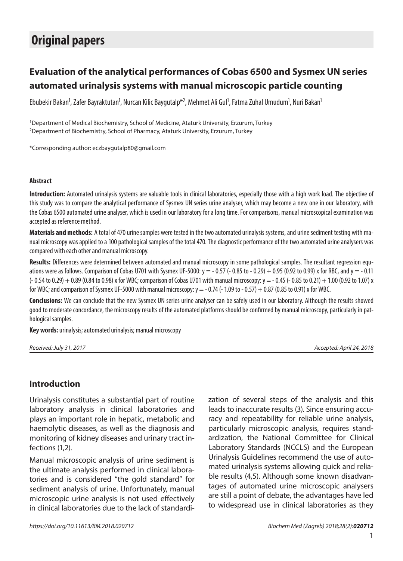# **Original papers**

## **Evaluation of the analytical performances of Cobas 6500 and Sysmex UN series automated urinalysis systems with manual microscopic particle counting**

Ebubekir Bakan<sup>1</sup>, Zafer Bayraktutan<sup>1</sup>, Nurcan Kilic Baygutalp\*<sup>2</sup>, Mehmet Ali Gul<sup>1</sup>, Fatma Zuhal Umudum<sup>1</sup>, Nuri Bakan<sup>1</sup>

1Department of Medical Biochemistry, School of Medicine, Ataturk University, Erzurum, Turkey 2Department of Biochemistry, School of Pharmacy, Ataturk University, Erzurum, Turkey

\*Corresponding author: eczbaygutalp80@gmail.com

#### **Abstract**

**Introduction:** Automated urinalysis systems are valuable tools in clinical laboratories, especially those with a high work load. The objective of this study was to compare the analytical performance of Sysmex UN series urine analyser, which may become a new one in our laboratory, with the Cobas 6500 automated urine analyser, which is used in our laboratory for a long time. For comparisons, manual microscopical examination was accepted as reference method.

**Materials and methods:** A total of 470 urine samples were tested in the two automated urinalysis systems, and urine sediment testing with manual microscopy was applied to a 100 pathological samples of the total 470. The diagnostic performance of the two automated urine analysers was compared with each other and manual microscopy.

**Results:** Differences were determined between automated and manual microscopy in some pathological samples. The resultant regression equations were as follows. Comparison of Cobas U701 with Sysmex UF-5000:  $y = -0.57$  ( $-0.85$  to  $-0.29$ ) + 0.95 (0.92 to 0.99) x for RBC, and  $y = -0.11$  $(-0.54 \text{ to } 0.29) + 0.89 \text{ (}0.84 \text{ to } 0.98)$  x for WBC; comparison of Cobas U701 with manual microscopy:  $y = -0.45 (-0.85 \text{ to } 0.21) + 1.00 (0.92 \text{ to } 1.07)$  x for WBC; and comparison of Sysmex UF-5000 with manual microscopy:  $y = -0.74$  ( $-1.09$  to  $-0.57$ )  $+0.87$  (0.85 to 0.91) x for WBC.

**Conclusions:** We can conclude that the new Sysmex UN series urine analyser can be safely used in our laboratory. Although the results showed good to moderate concordance, the microscopy results of the automated platforms should be confirmed by manual microscopy, particularly in pathological samples.

**Key words:** urinalysis; automated urinalysis; manual microscopy

| Received: July 31, 2017 |  |
|-------------------------|--|
|-------------------------|--|

*Received: July 31, 2017 Accepted: April 24, 2018*

## **Introduction**

Urinalysis constitutes a substantial part of routine laboratory analysis in clinical laboratories and plays an important role in hepatic, metabolic and haemolytic diseases, as well as the diagnosis and monitoring of kidney diseases and urinary tract infections (1,2).

Manual microscopic analysis of urine sediment is the ultimate analysis performed in clinical laboratories and is considered "the gold standard" for sediment analysis of urine. Unfortunately, manual microscopic urine analysis is not used effectively in clinical laboratories due to the lack of standardization of several steps of the analysis and this leads to inaccurate results (3). Since ensuring accuracy and repeatability for reliable urine analysis, particularly microscopic analysis, requires standardization, the National Committee for Clinical Laboratory Standards (NCCLS) and the European Urinalysis Guidelines recommend the use of automated urinalysis systems allowing quick and reliable results (4,5). Although some known disadvantages of automated urine microscopic analysers are still a point of debate, the advantages have led to widespread use in clinical laboratories as they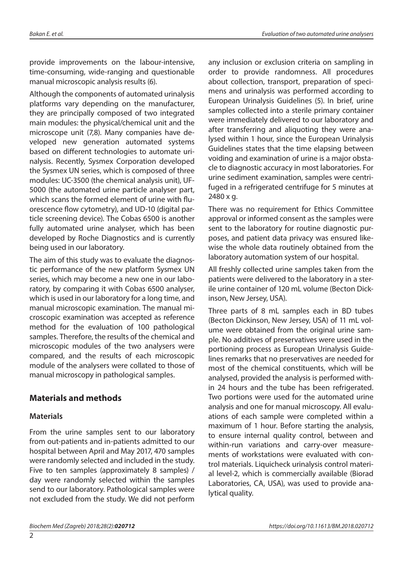provide improvements on the labour-intensive, time-consuming, wide-ranging and questionable manual microscopic analysis results (6).

Although the components of automated urinalysis platforms vary depending on the manufacturer, they are principally composed of two integrated main modules: the physical/chemical unit and the microscope unit (7,8). Many companies have developed new generation automated systems based on different technologies to automate urinalysis. Recently, Sysmex Corporation developed the Sysmex UN series, which is composed of three modules: UC-3500 (the chemical analysis unit), UF-5000 (the automated urine particle analyser part, which scans the formed element of urine with fluorescence flow cytometry), and UD-10 (digital particle screening device). The Cobas 6500 is another fully automated urine analyser, which has been developed by Roche Diagnostics and is currently being used in our laboratory.

The aim of this study was to evaluate the diagnostic performance of the new platform Sysmex UN series, which may become a new one in our laboratory, by comparing it with Cobas 6500 analyser, which is used in our laboratory for a long time, and manual microscopic examination. The manual microscopic examination was accepted as reference method for the evaluation of 100 pathological samples. Therefore, the results of the chemical and microscopic modules of the two analysers were compared, and the results of each microscopic module of the analysers were collated to those of manual microscopy in pathological samples.

## **Materials and methods**

## **Materials**

From the urine samples sent to our laboratory from out-patients and in-patients admitted to our hospital between April and May 2017, 470 samples were randomly selected and included in the study. Five to ten samples (approximately 8 samples) / day were randomly selected within the samples send to our laboratory. Pathological samples were not excluded from the study. We did not perform

any inclusion or exclusion criteria on sampling in order to provide randomness. All procedures about collection, transport, preparation of specimens and urinalysis was performed according to European Urinalysis Guidelines (5). In brief, urine samples collected into a sterile primary container were immediately delivered to our laboratory and after transferring and aliquoting they were analysed within 1 hour, since the European Urinalysis Guidelines states that the time elapsing between voiding and examination of urine is a major obstacle to diagnostic accuracy in most laboratories. For urine sediment examination, samples were centrifuged in a refrigerated centrifuge for 5 minutes at 2480 x g.

There was no requirement for Ethics Committee approval or informed consent as the samples were sent to the laboratory for routine diagnostic purposes, and patient data privacy was ensured likewise the whole data routinely obtained from the laboratory automation system of our hospital.

All freshly collected urine samples taken from the patients were delivered to the laboratory in a sterile urine container of 120 mL volume (Becton Dickinson, New Jersey, USA).

Three parts of 8 mL samples each in BD tubes (Becton Dickinson, New Jersey, USA) of 11 mL volume were obtained from the original urine sample. No additives of preservatives were used in the portioning process as European Urinalysis Guidelines remarks that no preservatives are needed for most of the chemical constituents, which will be analysed, provided the analysis is performed within 24 hours and the tube has been refrigerated. Two portions were used for the automated urine analysis and one for manual microscopy. All evaluations of each sample were completed within a maximum of 1 hour. Before starting the analysis, to ensure internal quality control, between and within-run variations and carry-over measurements of workstations were evaluated with control materials. Liquicheck urinalysis control material level-2, which is commercially available (Biorad Laboratories, CA, USA), was used to provide analytical quality.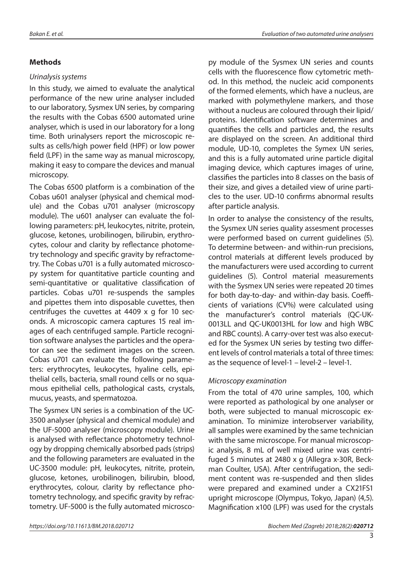#### **Methods**

#### *Urinalysis systems*

In this study, we aimed to evaluate the analytical performance of the new urine analyser included to our laboratory, Sysmex UN series, by comparing the results with the Cobas 6500 automated urine analyser, which is used in our laboratory for a long time. Both urinalysers report the microscopic results as cells/high power field (HPF) or low power field (LPF) in the same way as manual microscopy, making it easy to compare the devices and manual microscopy.

The Cobas 6500 platform is a combination of the Cobas u601 analyser (physical and chemical module) and the Cobas u701 analyser (microscopy module). The u601 analyser can evaluate the following parameters: pH, leukocytes, nitrite, protein, glucose, ketones, urobilinogen, bilirubin, erythrocytes, colour and clarity by reflectance photometry technology and specific gravity by refractometry. The Cobas u701 is a fully automated microscopy system for quantitative particle counting and semi-quantitative or qualitative classification of particles. Cobas u701 re-suspends the samples and pipettes them into disposable cuvettes, then centrifuges the cuvettes at 4409 x g for 10 seconds. A microscopic camera captures 15 real images of each centrifuged sample. Particle recognition software analyses the particles and the operator can see the sediment images on the screen. Cobas u701 can evaluate the following parameters: erythrocytes, leukocytes, hyaline cells, epithelial cells, bacteria, small round cells or no squamous epithelial cells, pathological casts, crystals, mucus, yeasts, and spermatozoa.

The Sysmex UN series is a combination of the UC-3500 analyser (physical and chemical module) and the UF-5000 analyser (microscopy module). Urine is analysed with reflectance photometry technology by dropping chemically absorbed pads (strips) and the following parameters are evaluated in the UC-3500 module: pH, leukocytes, nitrite, protein, glucose, ketones, urobilinogen, bilirubin, blood, erythrocytes, colour, clarity by reflectance photometry technology, and specific gravity by refractometry. UF-5000 is the fully automated microscopy module of the Sysmex UN series and counts cells with the fluorescence flow cytometric method. In this method, the nucleic acid components of the formed elements, which have a nucleus, are marked with polymethylene markers, and those without a nucleus are coloured through their lipid/ proteins. Identification software determines and quantifies the cells and particles and, the results are displayed on the screen. An additional third module, UD-10, completes the Symex UN series, and this is a fully automated urine particle digital imaging device, which captures images of urine, classifies the particles into 8 classes on the basis of their size, and gives a detailed view of urine particles to the user. UD-10 confirms abnormal results after particle analysis.

In order to analyse the consistency of the results, the Sysmex UN series quality assesment processes were performed based on current guidelines (5). To determine between- and within-run precisions, control materials at different levels produced by the manufacturers were used according to current guidelines (5). Control material measurements with the Sysmex UN series were repeated 20 times for both day-to-day- and within-day basis. Coefficients of variations (CV%) were calculated using the manufacturer's control materials (QC-UK-0013LL and QC-UK0013HL for low and high WBC and RBC counts). A carry-over test was also executed for the Sysmex UN series by testing two different levels of control materials a total of three times: as the sequence of level-1 – level-2 – level-1.

#### *Microscopy examination*

From the total of 470 urine samples, 100, which were reported as pathological by one analyser or both, were subjected to manual microscopic examination. To minimize interobserver variability, all samples were examined by the same technician with the same microscope. For manual microscopic analysis, 8 mL of well mixed urine was centrifuged 5 minutes at 2480 x g (Allegra x-30R, Beckman Coulter, USA). After centrifugation, the sediment content was re-suspended and then slides were prepared and examined under a CX21FS1 upright microscope (Olympus, Tokyo, Japan) (4,5). Magnification x100 (LPF) was used for the crystals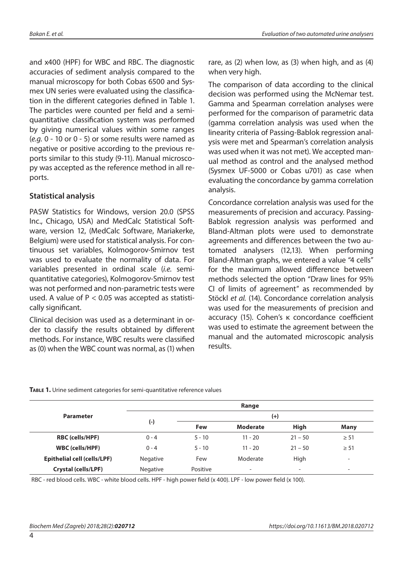and x400 (HPF) for WBC and RBC. The diagnostic accuracies of sediment analysis compared to the manual microscopy for both Cobas 6500 and Sysmex UN series were evaluated using the classification in the different categories defined in Table 1. The particles were counted per field and a semiquantitative classification system was performed by giving numerical values within some ranges (*e.g.* 0 - 10 or 0 - 5) or some results were named as negative or positive according to the previous reports similar to this study (9-11). Manual microscopy was accepted as the reference method in all reports.

## **Statistical analysis**

PASW Statistics for Windows, version 20.0 (SPSS Inc., Chicago, USA) and MedCalc Statistical Software, version 12, (MedCalc Software, Mariakerke, Belgium) were used for statistical analysis. For continuous set variables, Kolmogorov-Smirnov test was used to evaluate the normality of data. For variables presented in ordinal scale (*i.e.* semiquantitative categories), Kolmogorov-Smirnov test was not performed and non-parametric tests were used. A value of  $P < 0.05$  was accepted as statistically significant.

Clinical decision was used as a determinant in order to classify the results obtained by different methods. For instance, WBC results were classified as (0) when the WBC count was normal, as (1) when rare, as (2) when low, as (3) when high, and as (4) when very high.

The comparison of data according to the clinical decision was performed using the McNemar test. Gamma and Spearman correlation analyses were performed for the comparison of parametric data (gamma correlation analysis was used when the linearity criteria of Passing-Bablok regression analysis were met and Spearman's correlation analysis was used when it was not met). We accepted manual method as control and the analysed method (Sysmex UF-5000 or Cobas u701) as case when evaluating the concordance by gamma correlation analysis.

Concordance correlation analysis was used for the measurements of precision and accuracy. Passing-Bablok regression analysis was performed and Bland-Altman plots were used to demonstrate agreements and differences between the two automated analysers (12,13). When performing Bland-Altman graphs, we entered a value "4 cells" for the maximum allowed difference between methods selected the option "Draw lines for 95% CI of limits of agreement" as recommended by Stöckl *et al.* (14). Concordance correlation analysis was used for the measurements of precision and accuracy (15). Cohen's κ concordance coefficient was used to estimate the agreement between the manual and the automated microscopic analysis results.

|                                    | Range    |          |                          |                          |                          |  |  |  |
|------------------------------------|----------|----------|--------------------------|--------------------------|--------------------------|--|--|--|
| <b>Parameter</b>                   |          | $^{(+)}$ |                          |                          |                          |  |  |  |
|                                    | (-)      | Few      | <b>Moderate</b>          | <b>High</b>              | <b>Many</b>              |  |  |  |
| <b>RBC (cells/HPF)</b>             | $0 - 4$  | $5 - 10$ | $11 - 20$                | $21 - 50$                | $\geq 51$                |  |  |  |
| <b>WBC</b> (cells/HPF)             | $0 - 4$  | $5 - 10$ | $11 - 20$                | $21 - 50$                | $\geq 51$                |  |  |  |
| <b>Epithelial cell (cells/LPF)</b> | Negative | Few      | Moderate                 | High                     | $\overline{\phantom{a}}$ |  |  |  |
| Crystal (cells/LPF)                | Negative | Positive | $\overline{\phantom{0}}$ | $\overline{\phantom{a}}$ | $\overline{\phantom{0}}$ |  |  |  |

RBC - red blood cells. WBC - white blood cells. HPF - high power field (x 400). LPF - low power field (x 100).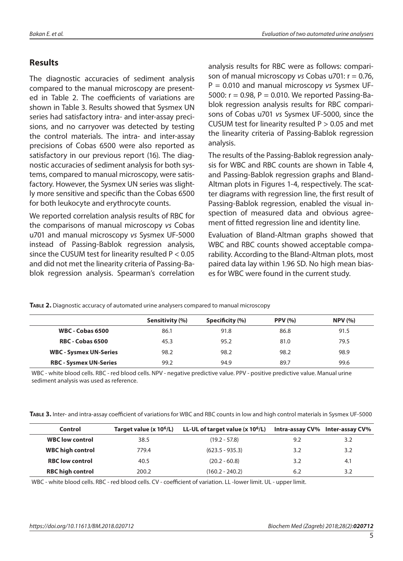## **Results**

The diagnostic accuracies of sediment analysis compared to the manual microscopy are presented in Table 2. The coefficients of variations are shown in Table 3. Results showed that Sysmex UN series had satisfactory intra- and inter-assay precisions, and no carryover was detected by testing the control materials. The intra- and inter-assay precisions of Cobas 6500 were also reported as satisfactory in our previous report (16). The diagnostic accuracies of sediment analysis for both systems, compared to manual microscopy, were satisfactory. However, the Sysmex UN series was slightly more sensitive and specific than the Cobas 6500 for both leukocyte and erythrocyte counts.

We reported correlation analysis results of RBC for the comparisons of manual microscopy *vs* Cobas u701 and manual microscopy *vs* Sysmex UF-5000 instead of Passing-Bablok regression analysis, since the CUSUM test for linearity resulted P < 0.05 and did not met the linearity criteria of Passing-Bablok regression analysis. Spearman's correlation analysis results for RBC were as follows: comparison of manual microscopy *vs* Cobas u701: r = 0.76, P = 0.010 and manual microscopy *vs* Sysmex UF-5000:  $r = 0.98$ ,  $P = 0.010$ . We reported Passing-Bablok regression analysis results for RBC comparisons of Cobas u701 *vs* Sysmex UF-5000, since the CUSUM test for linearity resulted  $P > 0.05$  and met the linearity criteria of Passing-Bablok regression analysis.

The results of the Passing-Bablok regression analysis for WBC and RBC counts are shown in Table 4, and Passing-Bablok regression graphs and Bland-Altman plots in Figures 1-4, respectively. The scatter diagrams with regression line, the first result of Passing-Bablok regression, enabled the visual inspection of measured data and obvious agreement of fitted regression line and identity line.

Evaluation of Bland-Altman graphs showed that WBC and RBC counts showed acceptable comparability. According to the Bland-Altman plots, most paired data lay within 1.96 SD. No high mean biases for WBC were found in the current study.

|                               | Sensitivity (%) | Specificity (%) | <b>PPV (%)</b> | NPV(%) |
|-------------------------------|-----------------|-----------------|----------------|--------|
| <b>WBC - Cobas 6500</b>       | 86.1            | 91.8            | 86.8           | 91.5   |
| <b>RBC - Cobas 6500</b>       | 45.3            | 95.2            | 81.0           | 79.5   |
| <b>WBC - Sysmex UN-Series</b> | 98.2            | 98.2            | 98.2           | 98.9   |
| <b>RBC - Sysmex UN-Series</b> | 99.2            | 94.9            | 89.7           | 99.6   |

**Table 2.** Diagnostic accuracy of automated urine analysers compared to manual microscopy

WBC - white blood cells. RBC - red blood cells. NPV - negative predictive value. PPV - positive predictive value. Manual urine sediment analysis was used as reference.

**Table 3.** Inter- and intra-assay coefficient of variations for WBC and RBC counts in low and high control materials in Sysmex UF-5000

| Control                 | Target value (x 10 <sup>6</sup> /L) | LL-UL of target value (x $10^6$ /L) |     | <b>Intra-assay CV%</b> Inter-assay CV% |
|-------------------------|-------------------------------------|-------------------------------------|-----|----------------------------------------|
| <b>WBC low control</b>  | 38.5                                | $(19.2 - 57.8)$                     | 9.2 | 3.2                                    |
| <b>WBC high control</b> | 779.4                               | $(623.5 - 935.3)$                   | 3.2 | 3.2                                    |
| <b>RBC low control</b>  | 40.5                                | $(20.2 - 60.8)$                     | 3.2 | 4.1                                    |
| <b>RBC high control</b> | 200.2                               | $(160.2 - 240.2)$                   | 6.2 | 3.2                                    |

WBC - white blood cells. RBC - red blood cells. CV - coefficient of variation. LL -lower limit. UL - upper limit.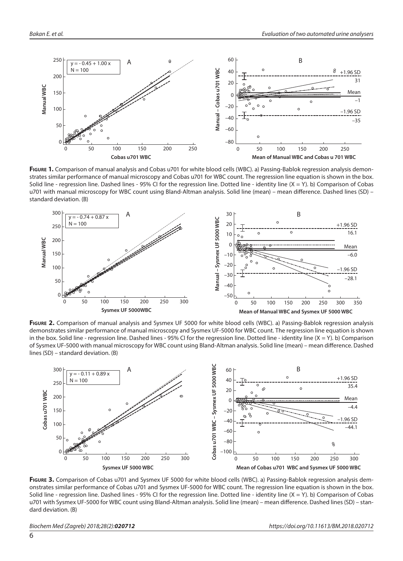

Figure 1. Comparison of manual analysis and Cobas u701 for white blood cells (WBC). a) Passing-Bablok regression analysis demonstrates similar performance of manual microscopy and Cobas u701 for WBC count. The regression line equation is shown in the box. Solid line - regression line. Dashed lines - 95% CI for the regression line. Dotted line - identity line  $(X = Y)$ . b) Comparison of Cobas u701 with manual microscopy for WBC count using Bland-Altman analysis. Solid line (mean) – mean difference. Dashed lines (SD) – standard deviation. (B)



**Figure 2.** Comparison of manual analysis and Sysmex UF 5000 for white blood cells (WBC). a) Passing-Bablok regression analysis demonstrates similar performance of manual microscopy and Sysmex UF-5000 for WBC count. The regression line equation is shown in the box. Solid line - regression line. Dashed lines - 95% CI for the regression line. Dotted line - identity line (X = Y). b) Comparison of Sysmex UF-5000 with manual microscopy for WBC count using Bland-Altman analysis. Solid line (mean) – mean difference. Dashed lines (SD) – standard deviation. (B)



**Figure 3.** Comparison of Cobas u701 and Sysmex UF 5000 for white blood cells (WBC). a) Passing-Bablok regression analysis demonstrates similar performance of Cobas u701 and Sysmex UF-5000 for WBC count. The regression line equation is shown in the box. Solid line - regression line. Dashed lines - 95% CI for the regression line. Dotted line - identity line  $(X = Y)$ . b) Comparison of Cobas u701 with Sysmex UF-5000 for WBC count using Bland-Altman analysis. Solid line (mean) – mean difference. Dashed lines (SD) – standard deviation. (B)

*Biochem Med (Zagreb) 2018;28(2):020712 https://doi.org/10.11613/BM.2018.020712*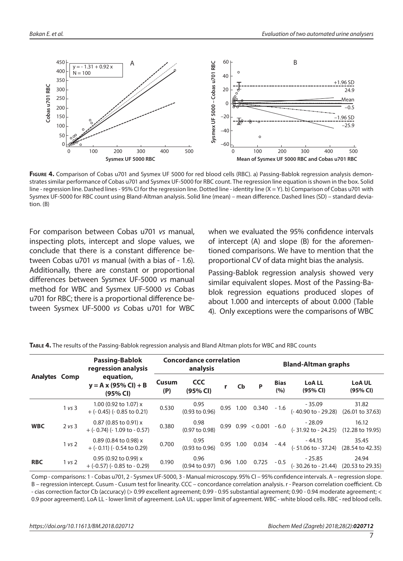

**Figure 4.** Comparison of Cobas u701 and Sysmex UF 5000 for red blood cells (RBC). a) Passing-Bablok regression analysis demonstrates similar performance of Cobas u701 and Sysmex UF-5000 for RBC count. The regression line equation is shown in the box. Solid line - regression line. Dashed lines - 95% CI for the regression line. Dotted line - identity line (X = Y). b) Comparison of Cobas u701 with Sysmex UF-5000 for RBC count using Bland-Altman analysis. Solid line (mean) – mean difference. Dashed lines (SD) – standard deviation. (B)

For comparison between Cobas u701 *vs* manual, inspecting plots, intercept and slope values, we conclude that there is a constant difference between Cobas u701 *vs* manual (with a bias of - 1.6). Additionally, there are constant or proportional differences between Sysmex UF-5000 *vs* manual method for WBC and Sysmex UF-5000 *vs* Cobas u701 for RBC; there is a proportional difference between Sysmex UF-5000 *vs* Cobas u701 for WBC when we evaluated the 95% confidence intervals of intercept (A) and slope (B) for the aforementioned comparisons. We have to mention that the proportional CV of data might bias the analysis.

Passing-Bablok regression analysis showed very similar equivalent slopes. Most of the Passing-Bablok regression equations produced slopes of about 1.000 and intercepts of about 0.000 (Table 4). Only exceptions were the comparisons of WBC

| Analytes Comp |        | <b>Passing-Bablok</b><br>regression analysis                    | <b>Concordance correlation</b><br>analysis |                                   |  |      | <b>Bland-Altman graphs</b> |                                                                                                                         |                           |  |
|---------------|--------|-----------------------------------------------------------------|--------------------------------------------|-----------------------------------|--|------|----------------------------|-------------------------------------------------------------------------------------------------------------------------|---------------------------|--|
|               |        | equation,<br>$y = A x (95\% CI) + B$<br>(95% CI)                | <b>Cusum</b><br>(P)                        | CCC<br>(95% CI)                   |  | r Cb | <b>Bias</b><br>(%)         | <b>LoALL</b><br>(95% CI)                                                                                                | <b>LoA UL</b><br>(95% CI) |  |
|               | 1 vs 3 | 1.00 (0.92 to 1.07) x<br>$+$ (- 0.45) (- 0.85 to 0.21)          | 0.530                                      |                                   |  |      |                            | $0.95$<br>$0.95$ $0.95$ $1.00$ $0.340$ $-1.6$ $-35.09$<br>$-35.09$ $31.82$<br>$-40.90$ to $-29.28$ $(26.01$ to $37.63)$ |                           |  |
| <b>WBC</b>    | 2 vs 3 | 0.87 (0.85 to 0.91) $\times$<br>$+$ (- 0.74) (- 1.09 to - 0.57) | 0.380                                      |                                   |  |      |                            | $0.98$<br>$0.99$ $0.99$ $0.99$ $0.99$ $0.001$ $0.60$ $0.31.92$ to $0.24.25$<br>$(12.28 \text{ to } 19.95)$              |                           |  |
|               | 1 vs 2 | $0.89$ (0.84 to 0.98) x<br>$+$ (- 0.11) (- 0.54 to 0.29)        | 0.700                                      |                                   |  |      |                            | 0.95 1.00 0.034 - 4.4 - 44.15 35.45<br>(0.93 to 0.96) 0.95 1.00 0.034 - 4.4 - (- 51.06 to - 37.24) (28.54 to 42.35)     |                           |  |
| <b>RBC</b>    | 1 vs 2 | 0.95 (0.92 to 0.99) $x$<br>$+$ (-0.57) (-0.85 to -0.29)         | 0.190                                      | 0.96<br>$(0.94 \text{ to } 0.97)$ |  |      |                            | 0.96 1.00 0.725 - 0.5 $-25.85$ 24.94<br>(-30.26 to - 21.44) (20.53 to 29.35)                                            |                           |  |

**Table 4.** The results of the Passing-Bablok regression analysis and Bland Altman plots for WBC and RBC counts

Comp - comparisons: 1 - Cobas u701, 2 - Sysmex UF-5000, 3 - Manual microscopy. 95% CI – 95% confidence intervals. A – regression slope. B – regression intercept. Cusum - Cusum test for linearity. CCC – concordance correlation analysis. r - Pearson correlation coefficient. Cb - cias correction factor Cb (accuracy) (> 0.99 excellent agreement; 0.99 - 0.95 substantial agreement; 0.90 - 0.94 moderate agreement; < 0.9 poor agreement). LoA LL - lower limit of agreement. LoA UL: upper limit of agreement. WBC - white blood cells. RBC - red blood cells.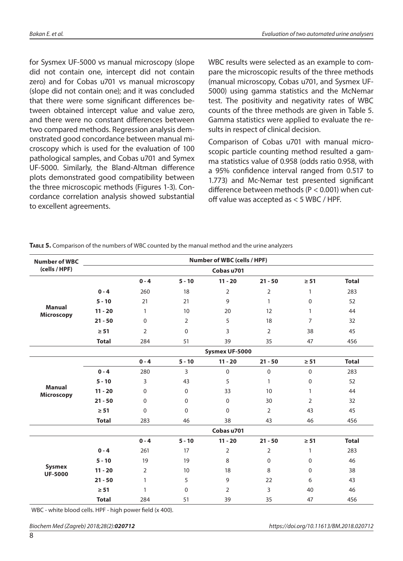for Sysmex UF-5000 vs manual microscopy (slope did not contain one, intercept did not contain zero) and for Cobas u701 vs manual microscopy (slope did not contain one); and it was concluded that there were some significant differences between obtained intercept value and value zero, and there were no constant differences between two compared methods. Regression analysis demonstrated good concordance between manual microscopy which is used for the evaluation of 100 pathological samples, and Cobas u701 and Symex UF-5000. Similarly, the Bland-Altman difference plots demonstrated good compatibility between the three microscopic methods (Figures 1-3). Concordance correlation analysis showed substantial to excellent agreements.

WBC results were selected as an example to compare the microscopic results of the three methods (manual microscopy, Cobas u701, and Sysmex UF-5000) using gamma statistics and the McNemar test. The positivity and negativity rates of WBC counts of the three methods are given in Table 5. Gamma statistics were applied to evaluate the results in respect of clinical decision.

Comparison of Cobas u701 with manual microscopic particle counting method resulted a gamma statistics value of 0.958 (odds ratio 0.958, with a 95% confidence interval ranged from 0.517 to 1.773) and Mc-Nemar test presented significant difference between methods (P < 0.001) when cutoff value was accepted as < 5 WBC / HPF.

| <b>Number of WBC</b>               |                |                |                | Number of WBC (cells / HPF) |                |                |              |  |  |  |
|------------------------------------|----------------|----------------|----------------|-----------------------------|----------------|----------------|--------------|--|--|--|
| (cells / HPF)                      | Cobas u701     |                |                |                             |                |                |              |  |  |  |
|                                    |                | $0 - 4$        | $5 - 10$       | $11 - 20$                   | $21 - 50$      | $\geq 51$      | <b>Total</b> |  |  |  |
|                                    | $0 - 4$        | 260            | 18             | $\overline{2}$              | $\overline{2}$ | 1              | 283          |  |  |  |
|                                    | $5 - 10$       | 21             | 21             | 9                           | $\mathbf{1}$   | $\Omega$       | 52           |  |  |  |
| <b>Manual</b><br><b>Microscopy</b> | $11 - 20$      | $\mathbf{1}$   | 10             | 20                          | 12             | $\mathbf{1}$   | 44           |  |  |  |
|                                    | $21 - 50$      | $\Omega$       | $\overline{2}$ | 5                           | 18             | $\overline{7}$ | 32           |  |  |  |
|                                    | $\geq 51$      | $\overline{2}$ | $\pmb{0}$      | 3                           | $\overline{2}$ | 38             | 45           |  |  |  |
|                                    | <b>Total</b>   | 284            | 51             | 39                          | 35             | 47             | 456          |  |  |  |
|                                    | Sysmex UF-5000 |                |                |                             |                |                |              |  |  |  |
|                                    |                | $0 - 4$        | $5 - 10$       | $11 - 20$                   | $21 - 50$      | $\geq 51$      | <b>Total</b> |  |  |  |
|                                    | $0 - 4$        | 280            | 3              | $\mathbf 0$                 | $\pmb{0}$      | 0              | 283          |  |  |  |
|                                    | $5 - 10$       | 3              | 43             | 5                           | $\mathbf{1}$   | 0              | 52           |  |  |  |
| <b>Manual</b><br><b>Microscopy</b> | $11 - 20$      | 0              | 0              | 33                          | 10             | 1              | 44           |  |  |  |
|                                    | $21 - 50$      | $\mathbf{0}$   | $\mathbf 0$    | $\Omega$                    | 30             | $\overline{2}$ | 32           |  |  |  |
|                                    | $\geq 51$      | $\mathbf{0}$   | $\mathbf 0$    | $\Omega$                    | $\overline{2}$ | 43             | 45           |  |  |  |
|                                    | <b>Total</b>   | 283            | 46             | 38                          | 43             | 46             | 456          |  |  |  |
|                                    | Cobas u701     |                |                |                             |                |                |              |  |  |  |
|                                    |                | $0 - 4$        | $5 - 10$       | $11 - 20$                   | $21 - 50$      | $\geq 51$      | <b>Total</b> |  |  |  |
|                                    | $0 - 4$        | 261            | 17             | $\overline{2}$              | $\overline{2}$ | $\mathbf{1}$   | 283          |  |  |  |
|                                    | $5 - 10$       | 19             | 19             | 8                           | 0              | 0              | 46           |  |  |  |
| <b>Sysmex</b><br><b>UF-5000</b>    | $11 - 20$      | $\overline{2}$ | 10             | 18                          | 8              | $\Omega$       | 38           |  |  |  |
|                                    | $21 - 50$      | 1              | 5              | 9                           | 22             | 6              | 43           |  |  |  |
|                                    | $\geq 51$      | 1              | 0              | $\overline{2}$              | 3              | 40             | 46           |  |  |  |
|                                    | <b>Total</b>   | 284            | 51             | 39                          | 35             | 47             | 456          |  |  |  |

**Table 5.** Comparison of the numbers of WBC counted by the manual method and the urine analyzers

WBC - white blood cells. HPF - high power field (x 400).

*Biochem Med (Zagreb) 2018;28(2):020712 https://doi.org/10.11613/BM.2018.020712*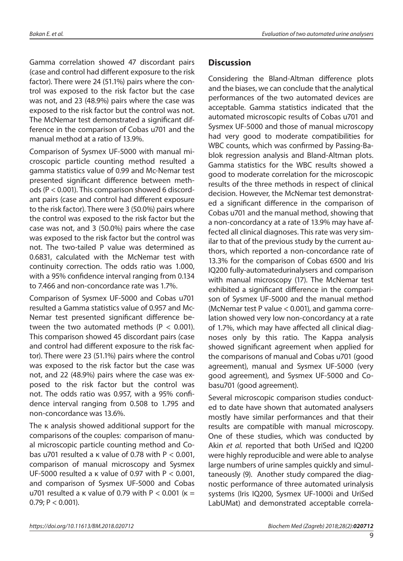Gamma correlation showed 47 discordant pairs (case and control had different exposure to the risk factor). There were 24 (51.1%) pairs where the control was exposed to the risk factor but the case was not, and 23 (48.9%) pairs where the case was exposed to the risk factor but the control was not. The McNemar test demonstrated a significant difference in the comparison of Cobas u701 and the manual method at a ratio of 13.9%.

Comparison of Sysmex UF-5000 with manual microscopic particle counting method resulted a gamma statistics value of 0.99 and Mc-Nemar test presented significant difference between methods (P < 0.001). This comparison showed 6 discordant pairs (case and control had different exposure to the risk factor). There were 3 (50.0%) pairs where the control was exposed to the risk factor but the case was not, and 3 (50.0%) pairs where the case was exposed to the risk factor but the control was not. The two-tailed P value was determined as 0.6831, calculated with the McNemar test with continuity correction. The odds ratio was 1.000, with a 95% confidence interval ranging from 0.134 to 7.466 and non-concordance rate was 1.7%.

Comparison of Sysmex UF-5000 and Cobas u701 resulted a Gamma statistics value of 0.957 and Mc-Nemar test presented significant difference between the two automated methods ( $P < 0.001$ ). This comparison showed 45 discordant pairs (case and control had different exposure to the risk factor). There were 23 (51.1%) pairs where the control was exposed to the risk factor but the case was not, and 22 (48.9%) pairs where the case was exposed to the risk factor but the control was not. The odds ratio was 0.957, with a 95% confidence interval ranging from 0.508 to 1.795 and non-concordance was 13.6%.

The κ analysis showed additional support for the comparisons of the couples: comparison of manual microscopic particle counting method and Cobas u701 resulted a  $\kappa$  value of 0.78 with P < 0.001, comparison of manual microscopy and Sysmex UF-5000 resulted a  $\kappa$  value of 0.97 with P < 0.001, and comparison of Sysmex UF-5000 and Cobas u701 resulted a κ value of 0.79 with  $P < 0.001$  ( $\kappa =$  $0.79; P < 0.001$ ).

## **Discussion**

Considering the Bland-Altman difference plots and the biases, we can conclude that the analytical performances of the two automated devices are acceptable. Gamma statistics indicated that the automated microscopic results of Cobas u701 and Sysmex UF-5000 and those of manual microscopy had very good to moderate compatibilities for WBC counts, which was confirmed by Passing-Bablok regression analysis and Bland-Altman plots. Gamma statistics for the WBC results showed a good to moderate correlation for the microscopic results of the three methods in respect of clinical decision. However, the McNemar test demonstrated a significant difference in the comparison of Cobas u701 and the manual method, showing that a non-concordancy at a rate of 13.9% may have affected all clinical diagnoses. This rate was very similar to that of the previous study by the current authors, which reported a non-concordance rate of 13.3% for the comparison of Cobas 6500 and Iris IQ200 fully-automatedurinalysers and comparison with manual microscopy (17). The McNemar test exhibited a significant difference in the comparison of Sysmex UF-5000 and the manual method (McNemar test P value < 0.001), and gamma correlation showed very low non-concordancy at a rate of 1.7%, which may have affected all clinical diagnoses only by this ratio. The Kappa analysis showed significant agreement when applied for the comparisons of manual and Cobas u701 (good agreement), manual and Sysmex UF-5000 (very good agreement), and Sysmex UF-5000 and Cobasu701 (good agreement).

Several microscopic comparison studies conducted to date have shown that automated analysers mostly have similar performances and that their results are compatible with manual microscopy. One of these studies, which was conducted by Akin *et al.* reported that both UriSed and IQ200 were highly reproducible and were able to analyse large numbers of urine samples quickly and simultaneously (9). Another study compared the diagnostic performance of three automated urinalysis systems (Iris IQ200, Sysmex UF-1000i and UriSed LabUMat) and demonstrated acceptable correla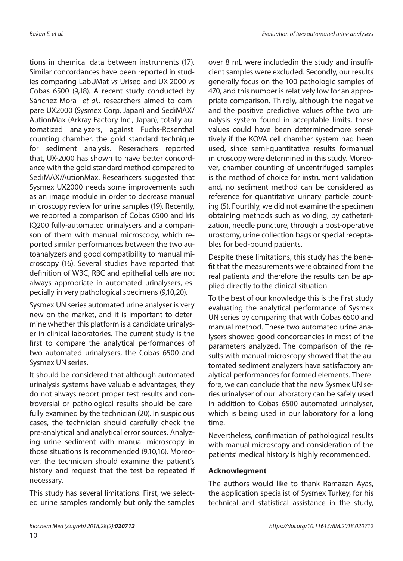tions in chemical data between instruments (17). Similar concordances have been reported in studies comparing LabUMat *vs* Urised and UX-2000 *vs* Cobas 6500 (9,18). A recent study conducted by Sánchez-Mora *et al.,* researchers aimed to compare UX2000 (Sysmex Corp, Japan) and SediMAX/ AutionMax (Arkray Factory Inc., Japan), totally automatized analyzers, against Fuchs-Rosenthal counting chamber, the gold standard technique for sediment analysis. Reserachers reported that, UX-2000 has shown to have better concordance with the gold standard method compared to SediMAX/AutionMax. Researhcers suggested that Sysmex UX2000 needs some improvements such as an image module in order to decrease manual microscopy review for urine samples (19). Recently, we reported a comparison of Cobas 6500 and Iris IQ200 fully-automated urinalysers and a comparison of them with manual microscopy, which reported similar performances between the two autoanalyzers and good compatibility to manual microscopy (16). Several studies have reported that definition of WBC, RBC and epithelial cells are not always appropriate in automated urinalysers, especially in very pathological specimens (9,10,20).

Sysmex UN series automated urine analyser is very new on the market, and it is important to determine whether this platform is a candidate urinalyser in clinical laboratories. The current study is the first to compare the analytical performances of two automated urinalysers, the Cobas 6500 and Sysmex UN series.

It should be considered that although automated urinalysis systems have valuable advantages, they do not always report proper test results and controversial or pathological results should be carefully examined by the technician (20). In suspicious cases, the technician should carefully check the pre-analytical and analytical error sources. Analyzing urine sediment with manual microscopy in those situations is recommended (9,10,16). Moreover, the technician should examine the patient's history and request that the test be repeated if necessary.

This study has several limitations. First, we selected urine samples randomly but only the samples

over 8 mL were includedin the study and insufficient samples were excluded. Secondly, our results generally focus on the 100 pathologic samples of 470, and this number is relatively low for an appropriate comparison. Thirdly, although the negative and the positive predictive values ofthe two urinalysis system found in acceptable limits, these values could have been determinedmore sensitively if the KOVA cell chamber system had been used, since semi-quantitative results formanual microscopy were determined in this study. Moreover, chamber counting of uncentrifuged samples is the method of choice for instrument validation and, no sediment method can be considered as reference for quantitative urinary particle counting (5). Fourthly, we did not examine the specimen obtaining methods such as voiding, by catheterization, needle puncture, through a post-operative urostomy, urine collection bags or special receptables for bed-bound patients.

Despite these limitations, this study has the benefit that the measurements were obtained from the real patients and therefore the results can be applied directly to the clinical situation.

To the best of our knowledge this is the first study evaluating the analytical performance of Sysmex UN series by comparing that with Cobas 6500 and manual method. These two automated urine analysers showed good concordancies in most of the parameters analyzed. The comparison of the results with manual microscopy showed that the automated sediment analyzers have satisfactory analytical performances for formed elements. Therefore, we can conclude that the new Sysmex UN series urinalyser of our laboratory can be safely used in addition to Cobas 6500 automated urinalyser, which is being used in our laboratory for a long time.

Nevertheless, confirmation of pathological results with manual microscopy and consideration of the patients' medical history is highly recommended.

#### **Acknowlegment**

The authors would like to thank Ramazan Ayas, the application specialist of Sysmex Turkey, for his technical and statistical assistance in the study,